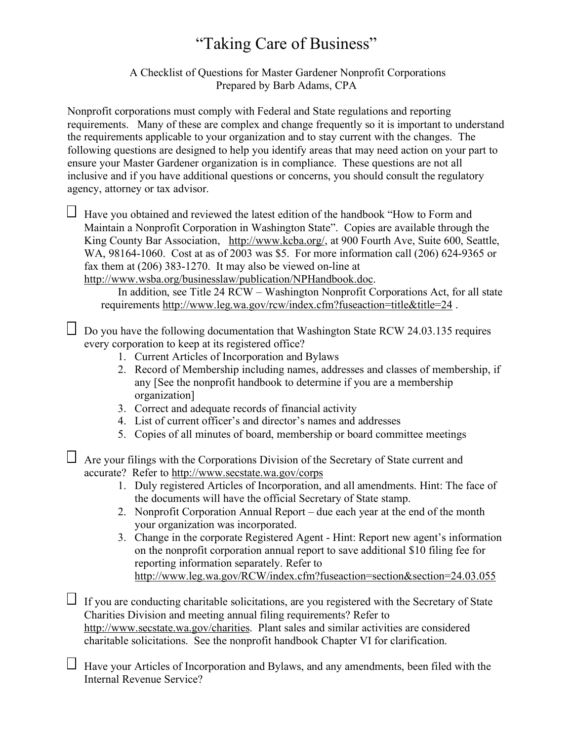## "Taking Care of Business"

 A Checklist of Questions for Master Gardener Nonprofit Corporations Prepared by Barb Adams, CPA

Nonprofit corporations must comply with Federal and State regulations and reporting requirements. Many of these are complex and change frequently so it is important to understand the requirements applicable to your organization and to stay current with the changes. The following questions are designed to help you identify areas that may need action on your part to ensure your Master Gardener organization is in compliance. These questions are not all inclusive and if you have additional questions or concerns, you should consult the regulatory agency, attorney or tax advisor.

 $\Box$  Have you obtained and reviewed the latest edition of the handbook "How to Form and Maintain a Nonprofit Corporation in Washington State". Copies are available through the King County Bar Association, http://www.kcba.org/, at 900 Fourth Ave, Suite 600, Seattle, WA, 98164-1060. Cost at as of 2003 was \$5. For more information call (206) 624-9365 or fax them at (206) 383-1270. It may also be viewed on-line at http://www.wsba.org/businesslaw/publication/NPHandbook.doc.

In addition, see Title 24 RCW – Washington Nonprofit Corporations Act, for all state requirements http://www.leg.wa.gov/rcw/index.cfm?fuseaction=title&title=24 .

 $\Box$  Do you have the following documentation that Washington State RCW 24.03.135 requires every corporation to keep at its registered office?

- 1. Current Articles of Incorporation and Bylaws
- 2. Record of Membership including names, addresses and classes of membership, if any [See the nonprofit handbook to determine if you are a membership organization]
- 3. Correct and adequate records of financial activity
- 4. List of current officer's and director's names and addresses
- 5. Copies of all minutes of board, membership or board committee meetings

Are your filings with the Corporations Division of the Secretary of State current and accurate? Refer to http://www.secstate.wa.gov/corps

- 1. Duly registered Articles of Incorporation, and all amendments. Hint: The face of the documents will have the official Secretary of State stamp.
- 2. Nonprofit Corporation Annual Report due each year at the end of the month your organization was incorporated.
- 3. Change in the corporate Registered Agent Hint: Report new agent's information on the nonprofit corporation annual report to save additional \$10 filing fee for reporting information separately. Refer to http://www.leg.wa.gov/RCW/index.cfm?fuseaction=section&section=24.03.055

 $\Box$  If you are conducting charitable solicitations, are you registered with the Secretary of State Charities Division and meeting annual filing requirements? Refer to http://www.secstate.wa.gov/charities. Plant sales and similar activities are considered charitable solicitations. See the nonprofit handbook Chapter VI for clarification.

Have your Articles of Incorporation and Bylaws, and any amendments, been filed with the Internal Revenue Service?